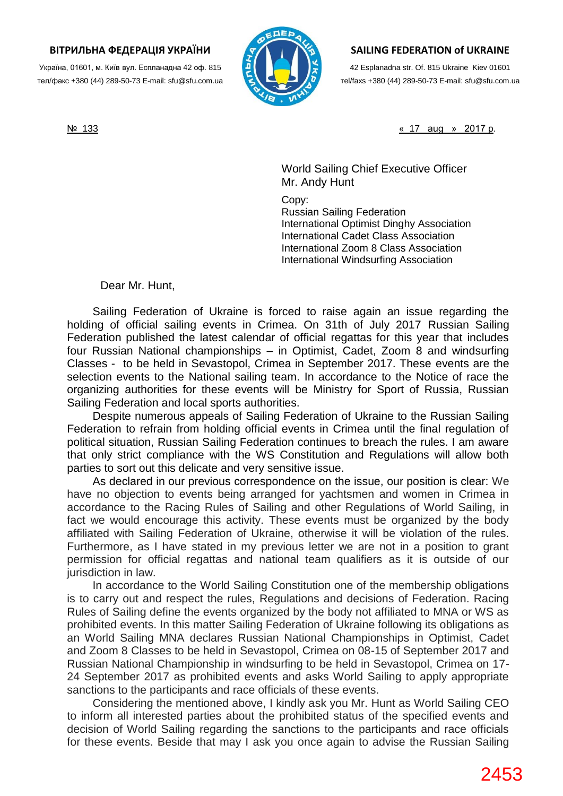## **ВІТРИЛЬНА ФЕДЕРАЦІЯ УКРАЇНИ**

Україна, 01601, м. Київ вул. Еспланадна 42 оф. 815 тел/факс +380 (44) 289-50-73 E-mail: [sfu@sfu.c](mailto:sfu@sfu)om.ua



## **SAILING FEDERATION of UKRAINE**

42 Esplanadna str. Of. 815 Ukraine Kiev 01601 тel/faxs +380 (44) 289-50-73 E-mail: [sfu@sfu.](mailto:sfu@sfu)com.ua

№ 133 « 17 aug » 2017 р.

World Sailing Chief Executive Officer Mr. Andy Hunt

Copy: Russian Sailing Federation International Optimist Dinghy Association International Cadet Class Association International Zoom 8 Class Association International Windsurfing Association

Dear Mr. Hunt,

Sailing Federation of Ukraine is forced to raise again an issue regarding the holding of official sailing events in Crimea. On 31th of July 2017 Russian Sailing Federation published the latest calendar of official regattas for this year that includes four Russian National championships – in Optimist, Cadet, Zoom 8 and windsurfing Classes - to be held in Sevastopol, Crimea in September 2017. These events are the selection events to the National sailing team. In accordance to the Notice of race the organizing authorities for these events will be Ministry for Sport of Russia, Russian Sailing Federation and local sports authorities.

Despite numerous appeals of Sailing Federation of Ukraine to the Russian Sailing Federation to refrain from holding official events in Crimea until the final regulation of political situation, Russian Sailing Federation continues to breach the rules. I am aware that only strict compliance with the WS Constitution and Regulations will allow both parties to sort out this delicate and very sensitive issue.

As declared in our previous correspondence on the issue, our position is clear: We have no objection to events being arranged for yachtsmen and women in Crimea in accordance to the Racing Rules of Sailing and other Regulations of World Sailing, in fact we would encourage this activity. These events must be organized by the body affiliated with Sailing Federation of Ukraine, otherwise it will be violation of the rules. Furthermore, as I have stated in my previous letter we are not in a position to grant permission for official regattas and national team qualifiers as it is outside of our jurisdiction in law.

In accordance to the World Sailing Constitution one of the membership obligations is to carry out and respect the rules, Regulations and decisions of Federation. Racing Rules of Sailing define the events organized by the body not affiliated to MNA or WS as prohibited events. In this matter Sailing Federation of Ukraine following its obligations as an World Sailing MNA declares Russian National Championships in Optimist, Cadet and Zoom 8 Classes to be held in Sevastopol, Crimea on 08-15 of September 2017 and Russian National Championship in windsurfing to be held in Sevastopol, Crimea on 17- 24 September 2017 as prohibited events and asks World Sailing to apply appropriate sanctions to the participants and race officials of these events.

Considering the mentioned above, I kindly ask you Mr. Hunt as World Sailing CEO to inform all interested parties about the prohibited status of the specified events and decision of World Sailing regarding the sanctions to the participants and race officials for these events. Beside that may I ask you once again to advise the Russian Sailing